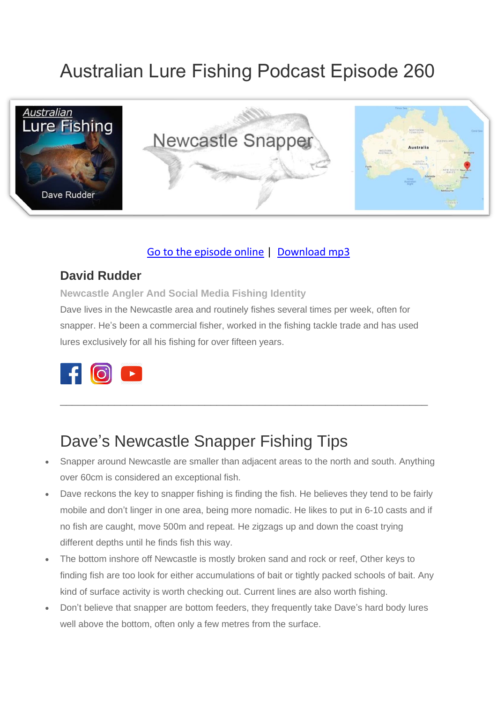# Australian Lure Fishing Podcast Episode 260



#### [Go to the episode online](https://doclures.com/newcastle-snapper-dave-rudder/) | [Download mp3](https://traffic.libsyn.com/secure/doclures/newcastle-snapper-dave-rudder.mp3)

#### **David Rudder**

**Newcastle Angler And Social Media Fishing Identity**

Dave lives in the Newcastle area and routinely fishes several times per week, often for snapper. He's been a commercial fisher, worked in the fishing tackle trade and has used lures exclusively for all his fishing for over fifteen years.



### Dave's Newcastle Snapper Fishing Tips

• Snapper around Newcastle are smaller than adjacent areas to the north and south. Anything over 60cm is considered an exceptional fish.

 $\_$  , and the set of the set of the set of the set of the set of the set of the set of the set of the set of the set of the set of the set of the set of the set of the set of the set of the set of the set of the set of th

- Dave reckons the key to snapper fishing is finding the fish. He believes they tend to be fairly mobile and don't linger in one area, being more nomadic. He likes to put in 6-10 casts and if no fish are caught, move 500m and repeat. He zigzags up and down the coast trying different depths until he finds fish this way.
- The bottom inshore off Newcastle is mostly broken sand and rock or reef, Other keys to finding fish are too look for either accumulations of bait or tightly packed schools of bait. Any kind of surface activity is worth checking out. Current lines are also worth fishing.
- Don't believe that snapper are bottom feeders, they frequently take Dave's hard body lures well above the bottom, often only a few metres from the surface.